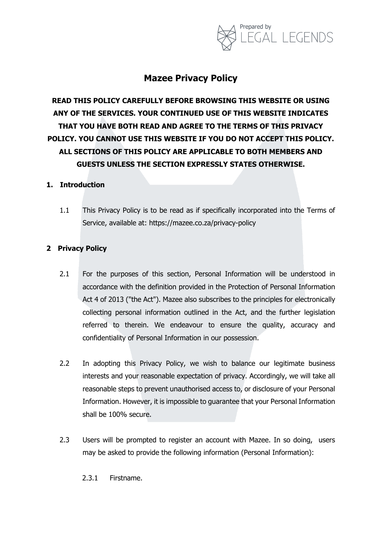

# **Mazee Privacy Policy**

**READ THIS POLICY CAREFULLY BEFORE BROWSING THIS WEBSITE OR USING ANY OF THE SERVICES. YOUR CONTINUED USE OF THIS WEBSITE INDICATES THAT YOU HAVE BOTH READ AND AGREE TO THE TERMS OF THIS PRIVACY POLICY. YOU CANNOT USE THIS WEBSITE IF YOU DO NOT ACCEPT THIS POLICY. ALL SECTIONS OF THIS POLICY ARE APPLICABLE TO BOTH MEMBERS AND GUESTS UNLESS THE SECTION EXPRESSLY STATES OTHERWISE.**

### **1. Introduction**

1.1 This Privacy Policy is to be read as if specifically incorporated into the Terms of Service, available at: https://mazee.co.za/privacy-policy

### **2 Privacy Policy**

- 2.1 For the purposes of this section, Personal Information will be understood in accordance with the definition provided in the Protection of Personal Information Act 4 of 2013 ("the Act"). Mazee also subscribes to the principles for electronically collecting personal information outlined in the Act, and the further legislation referred to therein. We endeavour to ensure the quality, accuracy and confidentiality of Personal Information in our possession.
- 2.2 In adopting this Privacy Policy, we wish to balance our legitimate business interests and your reasonable expectation of privacy. Accordingly, we will take all reasonable steps to prevent unauthorised access to, or disclosure of your Personal Information. However, it is impossible to guarantee that your Personal Information shall be 100% secure.
- 2.3 Users will be prompted to register an account with Mazee. In so doing, users may be asked to provide the following information (Personal Information):

2.3.1 Firstname.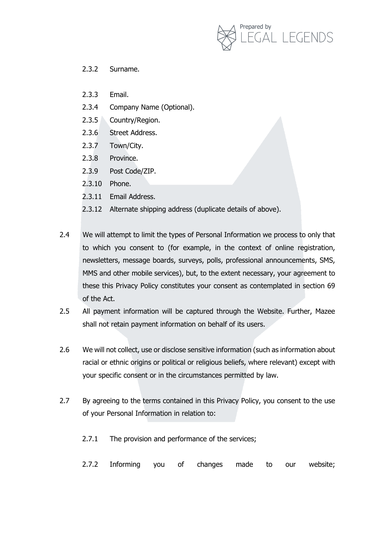

- 2.3.2 Surname.
- 2.3.3 Email.
- 2.3.4 Company Name (Optional).
- 2.3.5 Country/Region.
- 2.3.6 Street Address.
- 2.3.7 Town/City.
- 2.3.8 Province.
- 2.3.9 Post Code/ZIP.
- 2.3.10 Phone.
- 2.3.11 Email Address.
- 2.3.12 Alternate shipping address (duplicate details of above).
- 2.4 We will attempt to limit the types of Personal Information we process to only that to which you consent to (for example, in the context of online registration, newsletters, message boards, surveys, polls, professional announcements, SMS, MMS and other mobile services), but, to the extent necessary, your agreement to these this Privacy Policy constitutes your consent as contemplated in section 69 of the Act.
- 2.5 All payment information will be captured through the Website. Further, Mazee shall not retain payment information on behalf of its users.
- 2.6 We will not collect, use or disclose sensitive information (such as information about racial or ethnic origins or political or religious beliefs, where relevant) except with your specific consent or in the circumstances permitted by law.
- 2.7 By agreeing to the terms contained in this Privacy Policy, you consent to the use of your Personal Information in relation to:
	- 2.7.1 The provision and performance of the services;
	- 2.7.2 Informing you of changes made to our website;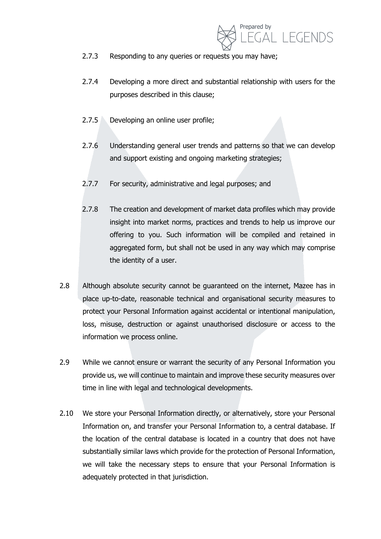

- 2.7.3 Responding to any queries or requests you may have;
- 2.7.4 Developing a more direct and substantial relationship with users for the purposes described in this clause;
- 2.7.5 Developing an online user profile;
- 2.7.6 Understanding general user trends and patterns so that we can develop and support existing and ongoing marketing strategies;
- 2.7.7 For security, administrative and legal purposes; and
- 2.7.8 The creation and development of market data profiles which may provide insight into market norms, practices and trends to help us improve our offering to you. Such information will be compiled and retained in aggregated form, but shall not be used in any way which may comprise the identity of a user.
- 2.8 Although absolute security cannot be quaranteed on the internet, Mazee has in place up-to-date, reasonable technical and organisational security measures to protect your Personal Information against accidental or intentional manipulation, loss, misuse, destruction or against unauthorised disclosure or access to the information we process online.
- 2.9 While we cannot ensure or warrant the security of any Personal Information you provide us, we will continue to maintain and improve these security measures over time in line with legal and technological developments.
- 2.10 We store your Personal Information directly, or alternatively, store your Personal Information on, and transfer your Personal Information to, a central database. If the location of the central database is located in a country that does not have substantially similar laws which provide for the protection of Personal Information, we will take the necessary steps to ensure that your Personal Information is adequately protected in that jurisdiction.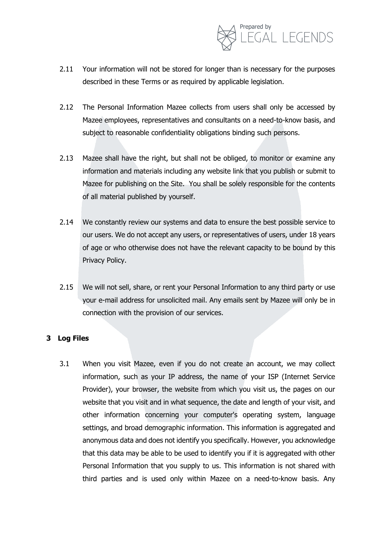

- 2.11 Your information will not be stored for longer than is necessary for the purposes described in these Terms or as required by applicable legislation.
- 2.12 The Personal Information Mazee collects from users shall only be accessed by Mazee employees, representatives and consultants on a need-to-know basis, and subject to reasonable confidentiality obligations binding such persons.
- 2.13 Mazee shall have the right, but shall not be obliged, to monitor or examine any information and materials including any website link that you publish or submit to Mazee for publishing on the Site. You shall be solely responsible for the contents of all material published by yourself.
- 2.14 We constantly review our systems and data to ensure the best possible service to our users. We do not accept any users, or representatives of users, under 18 years of age or who otherwise does not have the relevant capacity to be bound by this Privacy Policy.
- 2.15 We will not sell, share, or rent your Personal Information to any third party or use your e-mail address for unsolicited mail. Any emails sent by Mazee will only be in connection with the provision of our services.

#### **3 Log Files**

3.1 When you visit Mazee, even if you do not create an account, we may collect information, such as your IP address, the name of your ISP (Internet Service Provider), your browser, the website from which you visit us, the pages on our website that you visit and in what sequence, the date and length of your visit, and other information concerning your computer's operating system, language settings, and broad demographic information. This information is aggregated and anonymous data and does not identify you specifically. However, you acknowledge that this data may be able to be used to identify you if it is aggregated with other Personal Information that you supply to us. This information is not shared with third parties and is used only within Mazee on a need-to-know basis. Any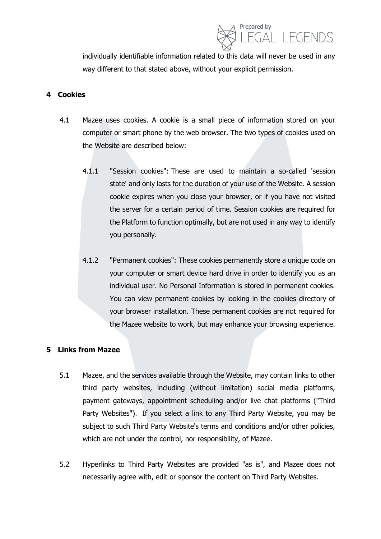

individually identifiable information related to this data will never be used in any way different to that stated above, without your explicit permission.

#### **4 Cookies**

- 4.1 Mazee uses cookies. A cookie is a small piece of information stored on your computer or smart phone by the web browser. The two types of cookies used on the Website are described below:
	- 4.1.1 "Session cookies": These are used to maintain a so-called 'session state' and only lasts for the duration of your use of the Website. A session cookie expires when you close your browser, or if you have not visited the server for a certain period of time. Session cookies are required for the Platform to function optimally, but are not used in any way to identify you personally.
	- 4.1.2 "Permanent cookies": These cookies permanently store a unique code on your computer or smart device hard drive in order to identify you as an individual user. No Personal Information is stored in permanent cookies. You can view permanent cookies by looking in the cookies directory of your browser installation. These permanent cookies are not required for the Mazee website to work, but may enhance your browsing experience.

#### **5 Links from Mazee**

- 5.1 Mazee, and the services available through the Website, may contain links to other third party websites, including (without limitation) social media platforms, payment gateways, appointment scheduling and/or live chat platforms ("Third Party Websites"). If you select a link to any Third Party Website, you may be subject to such Third Party Website's terms and conditions and/or other policies, which are not under the control, nor responsibility, of Mazee.
- 5.2 Hyperlinks to Third Party Websites are provided "as is", and Mazee does not necessarily agree with, edit or sponsor the content on Third Party Websites.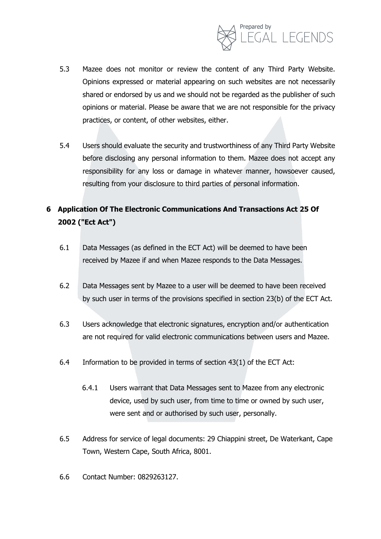

- 5.3 Mazee does not monitor or review the content of any Third Party Website. Opinions expressed or material appearing on such websites are not necessarily shared or endorsed by us and we should not be regarded as the publisher of such opinions or material. Please be aware that we are not responsible for the privacy practices, or content, of other websites, either.
- 5.4 Users should evaluate the security and trustworthiness of any Third Party Website before disclosing any personal information to them. Mazee does not accept any responsibility for any loss or damage in whatever manner, howsoever caused, resulting from your disclosure to third parties of personal information.

## **6 Application Of The Electronic Communications And Transactions Act 25 Of 2002 ("Ect Act")**

- 6.1 Data Messages (as defined in the ECT Act) will be deemed to have been received by Mazee if and when Mazee responds to the Data Messages.
- 6.2 Data Messages sent by Mazee to a user will be deemed to have been received by such user in terms of the provisions specified in section 23(b) of the ECT Act.
- 6.3 Users acknowledge that electronic signatures, encryption and/or authentication are not required for valid electronic communications between users and Mazee.
- 6.4 Information to be provided in terms of section 43(1) of the ECT Act:
	- 6.4.1 Users warrant that Data Messages sent to Mazee from any electronic device, used by such user, from time to time or owned by such user, were sent and or authorised by such user, personally.
- 6.5 Address for service of legal documents: 29 Chiappini street, De Waterkant, Cape Town, Western Cape, South Africa, 8001.
- 6.6 Contact Number: 0829263127.